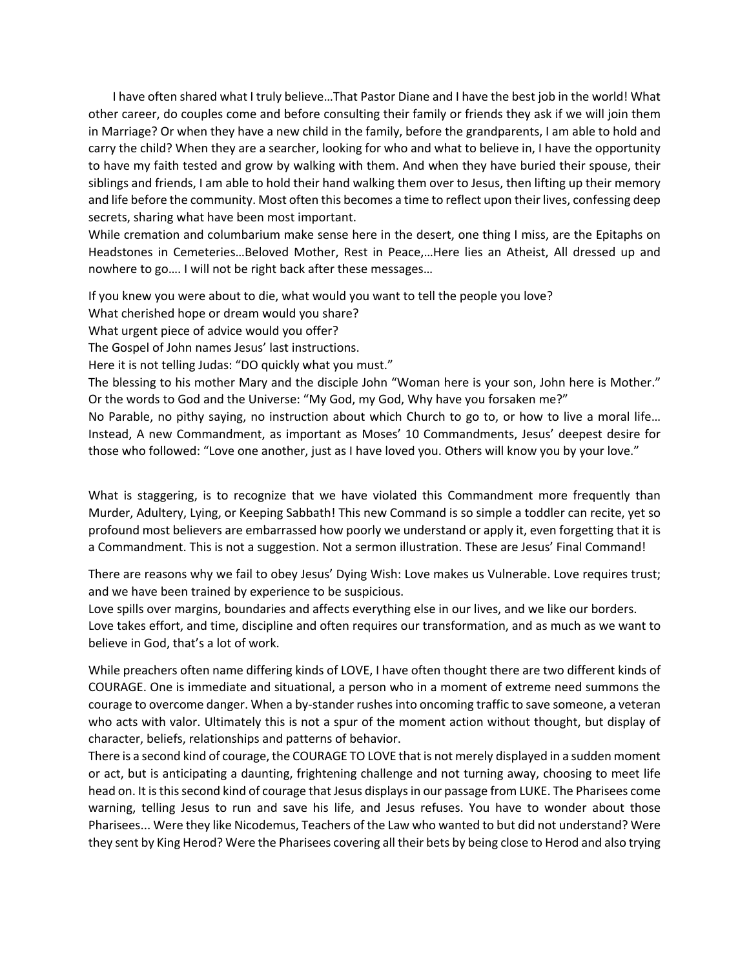I have often shared what I truly believe…That Pastor Diane and I have the best job in the world! What other career, do couples come and before consulting their family or friends they ask if we will join them in Marriage? Or when they have a new child in the family, before the grandparents, I am able to hold and carry the child? When they are a searcher, looking for who and what to believe in, I have the opportunity to have my faith tested and grow by walking with them. And when they have buried their spouse, their siblings and friends, I am able to hold their hand walking them over to Jesus, then lifting up their memory and life before the community. Most often this becomes a time to reflect upon their lives, confessing deep secrets, sharing what have been most important.

While cremation and columbarium make sense here in the desert, one thing I miss, are the Epitaphs on Headstones in Cemeteries…Beloved Mother, Rest in Peace,…Here lies an Atheist, All dressed up and nowhere to go…. I will not be right back after these messages…

If you knew you were about to die, what would you want to tell the people you love?

What cherished hope or dream would you share?

What urgent piece of advice would you offer?

The Gospel of John names Jesus' last instructions.

Here it is not telling Judas: "DO quickly what you must."

The blessing to his mother Mary and the disciple John "Woman here is your son, John here is Mother." Or the words to God and the Universe: "My God, my God, Why have you forsaken me?"

No Parable, no pithy saying, no instruction about which Church to go to, or how to live a moral life… Instead, A new Commandment, as important as Moses' 10 Commandments, Jesus' deepest desire for those who followed: "Love one another, just as I have loved you. Others will know you by your love."

What is staggering, is to recognize that we have violated this Commandment more frequently than Murder, Adultery, Lying, or Keeping Sabbath! This new Command is so simple a toddler can recite, yet so profound most believers are embarrassed how poorly we understand or apply it, even forgetting that it is a Commandment. This is not a suggestion. Not a sermon illustration. These are Jesus' Final Command!

There are reasons why we fail to obey Jesus' Dying Wish: Love makes us Vulnerable. Love requires trust; and we have been trained by experience to be suspicious.

Love spills over margins, boundaries and affects everything else in our lives, and we like our borders. Love takes effort, and time, discipline and often requires our transformation, and as much as we want to believe in God, that's a lot of work.

While preachers often name differing kinds of LOVE, I have often thought there are two different kinds of COURAGE. One is immediate and situational, a person who in a moment of extreme need summons the courage to overcome danger. When a by-stander rushes into oncoming traffic to save someone, a veteran who acts with valor. Ultimately this is not a spur of the moment action without thought, but display of character, beliefs, relationships and patterns of behavior.

There is a second kind of courage, the COURAGE TO LOVE that is not merely displayed in a sudden moment or act, but is anticipating a daunting, frightening challenge and not turning away, choosing to meet life head on. It is this second kind of courage that Jesus displays in our passage from LUKE. The Pharisees come warning, telling Jesus to run and save his life, and Jesus refuses. You have to wonder about those Pharisees... Were they like Nicodemus, Teachers of the Law who wanted to but did not understand? Were they sent by King Herod? Were the Pharisees covering all their bets by being close to Herod and also trying